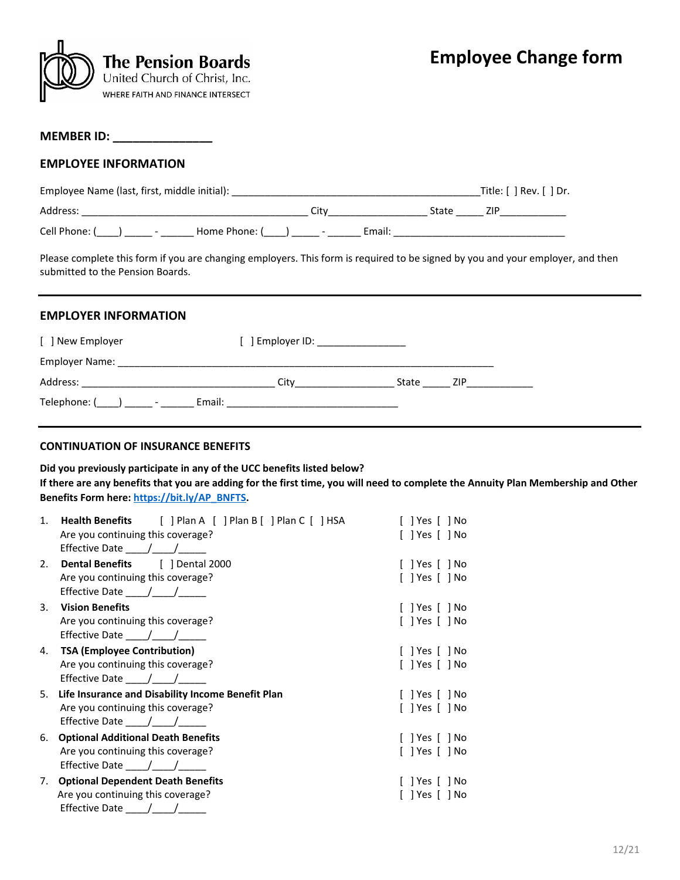

#### **MEMBER ID: \_\_\_\_\_\_\_\_\_\_\_\_\_\_\_**

#### **EMPLOYEE INFORMATION**

| Employee Name (last, first, middle initial):               | Title: $\lceil \cdot \rceil$ Rev. $\lceil \cdot \rceil$ Dr. |        |     |
|------------------------------------------------------------|-------------------------------------------------------------|--------|-----|
| Address:                                                   | Citv                                                        | State  | 7IP |
| Cell Phone: (<br>Home Phone: (<br>$\overline{\phantom{a}}$ | $\overline{\phantom{0}}$                                    | Email: |     |

Please complete this form if you are changing employers. This form is required to be signed by you and your employer, and then submitted to the Pension Boards.

### **EMPLOYER INFORMATION**

| [ ] New Employer | ] Employer ID: The control of the control of the control of the control of the control of the control of the c |       |            |
|------------------|----------------------------------------------------------------------------------------------------------------|-------|------------|
| Employer Name:   |                                                                                                                |       |            |
| Address:         | Citv                                                                                                           | State | <b>ZIP</b> |
| Telephone: ( ) - | Email:                                                                                                         |       |            |

## **CONTINUATION OF INSURANCE BENEFITS**

**Did you previously participate in any of the UCC benefits listed below?**

**If there are any benefits that you are adding for the first time, you will need to complete the Annuity Plan Membership and Other Benefits Form here[: https://bit.ly/AP\\_BNFTS.](https://bit.ly/AP_BNFTS)**

| 1. | <b>Health Benefits</b> [ ] Plan A [ ] Plan B [ ] Plan C [ ] HSA<br>Are you continuing this coverage?<br>Effective Date $\frac{1}{\sqrt{1-\frac{1}{2}}}\$ | $[$ ] Yes $[$ ] No<br>$[$ ] Yes $[$ ] No |
|----|----------------------------------------------------------------------------------------------------------------------------------------------------------|------------------------------------------|
| 2. | <b>Dental Benefits</b> [ ] Dental 2000                                                                                                                   | $[$ ] Yes $[$ ] No                       |
|    | Are you continuing this coverage?<br>Effective Date $\frac{\mu}{\mu}$ $\frac{\mu}{\mu}$                                                                  | $[$ ] Yes $[$ ] No                       |
| 3. | <b>Vision Benefits</b>                                                                                                                                   | $[$ ] Yes $[$ ] No                       |
|    | Are you continuing this coverage?<br>Effective Date $\frac{1}{\sqrt{1-\frac{1}{2}}}$                                                                     | [ ] Yes [ ] No                           |
| 4. | <b>TSA (Employee Contribution)</b>                                                                                                                       | $[$ ] Yes $[$ ] No                       |
|    | Are you continuing this coverage?<br>Effective Date ____/____/_____                                                                                      | $[$ ] Yes $[$ ] No                       |
| 5. | Life Insurance and Disability Income Benefit Plan<br>Are you continuing this coverage?<br>Effective Date $\frac{\mu}{\mu}$                               | $[$ ] Yes $[$ ] No<br>$[$ ] Yes $[$ ] No |
| 6. | <b>Optional Additional Death Benefits</b>                                                                                                                | $[$ ] Yes $[$ ] No                       |
|    | Are you continuing this coverage?<br>Effective Date $\frac{1}{\sqrt{1-\frac{1}{2}}}\$                                                                    | $[$ ] Yes $[$ ] No                       |
| 7. | <b>Optional Dependent Death Benefits</b>                                                                                                                 | $[$ ] Yes $[$ ] No                       |
|    | Are you continuing this coverage?<br>Effective Date $\frac{1}{\sqrt{2}}$                                                                                 | $[$ ] Yes $[$ ] No                       |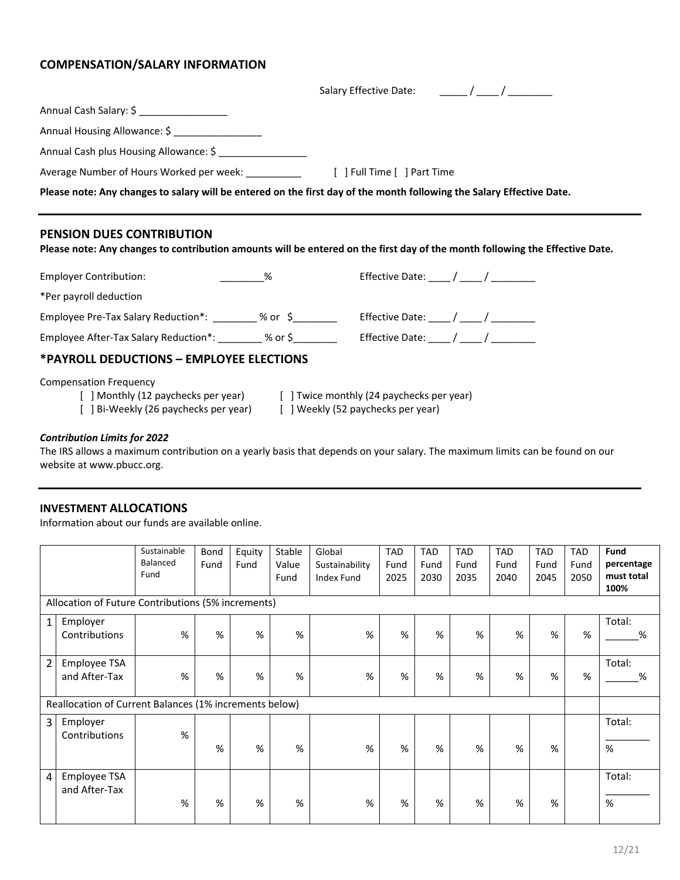# **COMPENSATION/SALARY INFORMATION**

|                                                                                                                                                                                            | Salary Effective Date: (and a sale of the sale of the sale of the same set of the same set of the sale of the s              |
|--------------------------------------------------------------------------------------------------------------------------------------------------------------------------------------------|------------------------------------------------------------------------------------------------------------------------------|
| Annual Cash Salary: \$ _________________                                                                                                                                                   |                                                                                                                              |
| Annual Housing Allowance: \$                                                                                                                                                               |                                                                                                                              |
| Annual Cash plus Housing Allowance: \$ __________________                                                                                                                                  |                                                                                                                              |
|                                                                                                                                                                                            |                                                                                                                              |
|                                                                                                                                                                                            | Please note: Any changes to salary will be entered on the first day of the month following the Salary Effective Date.        |
|                                                                                                                                                                                            |                                                                                                                              |
| <b>PENSION DUES CONTRIBUTION</b>                                                                                                                                                           | Please note: Any changes to contribution amounts will be entered on the first day of the month following the Effective Date. |
| $\%$<br><b>Employer Contribution:</b>                                                                                                                                                      | Effective Date: $\frac{1}{\sqrt{2\pi}}$                                                                                      |
| *Per payroll deduction                                                                                                                                                                     |                                                                                                                              |
| Employee Pre-Tax Salary Reduction*: _________ % or \$_________ Effective Date: ____/ ____/ _________                                                                                       |                                                                                                                              |
| Employee After-Tax Salary Reduction*: ________ % or \$________ Effective Date: ____/ ____/ ________                                                                                        |                                                                                                                              |
| *PAYROLL DEDUCTIONS - EMPLOYEE ELECTIONS                                                                                                                                                   |                                                                                                                              |
| <b>Compensation Frequency</b><br>[ ] Monthly (12 paychecks per year) [ ] Twice monthly (24 paychecks per year)<br>[ ] Bi-Weekly (26 paychecks per year) [ ] Weekly (52 paychecks per year) |                                                                                                                              |

### *Contribution Limits for 2022*

The IRS allows a maximum contribution on a yearly basis that depends on your salary. The maximum limits can be found on our website at www.pbucc.org.

# **INVESTMENT ALLOCATIONS**

Information about our funds are available online.

|                |                                                        | Sustainable | Bond | Equity | Stable | Global         | <b>TAD</b> | <b>TAD</b> | <b>TAD</b> | <b>TAD</b> | <b>TAD</b> | <b>TAD</b> | <b>Fund</b> |
|----------------|--------------------------------------------------------|-------------|------|--------|--------|----------------|------------|------------|------------|------------|------------|------------|-------------|
|                |                                                        | Balanced    | Fund | Fund   | Value  | Sustainability | Fund       | Fund       | Fund       | Fund       | Fund       | Fund       | percentage  |
|                |                                                        | Fund        |      |        | Fund   | Index Fund     | 2025       | 2030       | 2035       | 2040       | 2045       | 2050       | must total  |
|                |                                                        |             |      |        |        |                |            |            |            |            |            |            | 100%        |
|                | Allocation of Future Contributions (5% increments)     |             |      |        |        |                |            |            |            |            |            |            |             |
| $\mathbf{1}$   | Employer                                               |             |      |        |        |                |            |            |            |            |            |            | Total:      |
|                | Contributions                                          | %           | %    | %      | %      | %              | %          | %          | %          | %          | %          | %          | %           |
|                |                                                        |             |      |        |        |                |            |            |            |            |            |            |             |
| $\overline{2}$ | Employee TSA                                           |             |      |        |        |                |            |            |            |            |            |            | Total:      |
|                | and After-Tax                                          | %           | %    | $\%$   | %      | %              | %          | $\%$       | %          | %          | %          | %          | %           |
|                |                                                        |             |      |        |        |                |            |            |            |            |            |            |             |
|                | Reallocation of Current Balances (1% increments below) |             |      |        |        |                |            |            |            |            |            |            |             |
| 3              | Employer                                               |             |      |        |        |                |            |            |            |            |            |            | Total:      |
|                | Contributions                                          | %           |      |        |        |                |            |            |            |            |            |            |             |
|                |                                                        |             | %    | %      | %      | %              | %          | %          | %          | %          | %          |            | %           |
|                |                                                        |             |      |        |        |                |            |            |            |            |            |            |             |
| 4              | Employee TSA                                           |             |      |        |        |                |            |            |            |            |            |            | Total:      |
|                | and After-Tax                                          |             |      |        |        |                |            |            |            |            |            |            |             |
|                |                                                        | %           | %    | %      | %      | %              | %          | %          | %          | %          | %          |            | %           |
|                |                                                        |             |      |        |        |                |            |            |            |            |            |            |             |